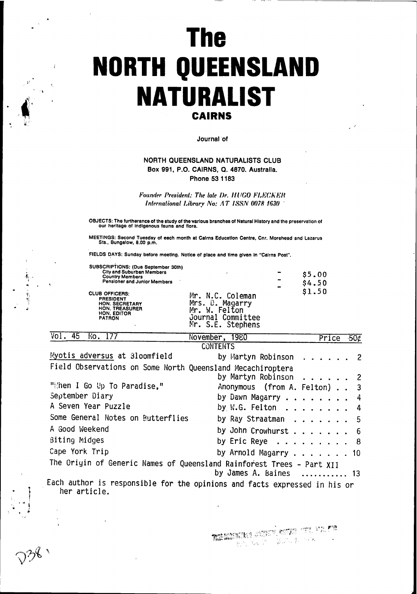# **The NORTH QUEENSLAND NATURALIST CAIRNS**

Journal of

# NORTH QUEENSLAND NATURALISTS CLUB Box 991, P.O. CAIRNS, Q. 4870. Australia. Phone 53 1183

Founder President: The late Dr. HUGO FLECKER International Library No: AT ISSN 0078 1630

OBJECTS: The furtherance of the study of the various branches of Natural History and the preservation of our heritage of indigenous fauna and flora.

MEETINGS: Second Tuesday of each month at Cairns Education Centre, Cnr. Morehead and Lazarus<br>Sts., Bungalow, 8.00 p.m.

FIELDS DAYS: Sunday before meeting. Notice of place and time given in "Cairns Post".

 $\overline{17.7}$ 

 $\label{eq:2d} \frac{d\mathbf{r}}{d\mathbf{r}} = \frac{d\mathbf{r}}{d\mathbf{r}}$ 

ਨਾ

| SUBSCRIPTIONS: (Due September 30th)<br>City and Suburban Members<br><b>Country Members</b><br>Pensioner and Junior Members<br><b>CLUB OFFICERS:</b><br><b>PRESIDENT</b><br><b>HON. SECRETARY</b><br><b>HON. TREASURER</b><br><b>HON, EDITOR</b><br><b>PATRON</b> | ×<br>Mr. N.C. Coleman<br>Mrs. D. Magarry<br>W. Felton<br>Mr.<br>Journal Committee | \$5.00<br>\$4.50<br>\$1.50 |
|------------------------------------------------------------------------------------------------------------------------------------------------------------------------------------------------------------------------------------------------------------------|-----------------------------------------------------------------------------------|----------------------------|
| ⊸⊸                                                                                                                                                                                                                                                               | Mr. S.E. Stephens<br>--<br>-----                                                  |                            |

| VOI. 43 NO. 1/7                                                           | November, 1980                                       |  | Price | $-50c$ |
|---------------------------------------------------------------------------|------------------------------------------------------|--|-------|--------|
|                                                                           | <b>CONTENTS</b>                                      |  |       |        |
| Myotis adversus at 31oomfield                                             | by Martyn Robinson 2                                 |  |       |        |
| Field Observations on Some North Queensland Mecachiroptera                |                                                      |  |       |        |
|                                                                           | by Martyn Robinson 2                                 |  |       |        |
| "Then I Go Up To Paradise."                                               | Anonymous (from A. Felton) 3                         |  |       |        |
| September Diary                                                           | by Dawn Magarry $\ldots$ $\ldots$ $\ldots$ $\cdot$ 4 |  |       |        |
| A Seven Year Puzzle                                                       | by W.G. Felton $\ldots$ $\ldots$ $\ldots$ 4          |  |       |        |
| Some General Notes on Butterflies                                         | by Ray Straatman 5                                   |  |       |        |
| A Good Weekend                                                            | by John Crowhurst 6                                  |  |       |        |
| Biting Midges                                                             | by Eric Reye $\ldots$ 8                              |  |       |        |
| Cape York Trip                                                            | by Arnold Magarry 10                                 |  |       |        |
| The Origin of Generic Names of Queensland Rainforest Trees - Part XII     |                                                      |  |       |        |
|                                                                           | by James A. Baines  13                               |  |       |        |
| Each author is responsible for the opinions and facts expressed in his or |                                                      |  |       |        |

Ψμ and racts expressed in his or her article.

**THE ANSWERK** BROWN CONTROL TO A POPULATION FOR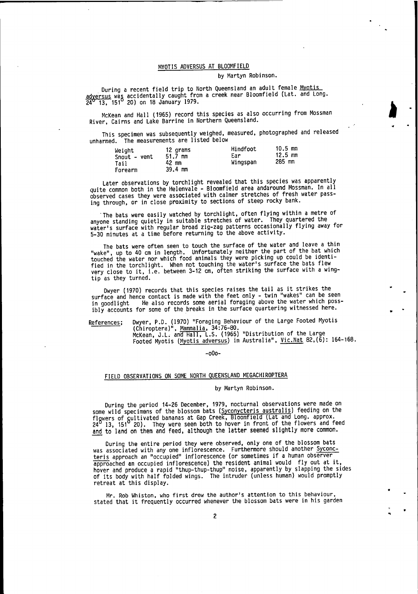## MYOTIS ADVERSUS AT BLOOMFIELD

#### ly Martyn Robinson.

**A** 

During a recent field trip to North Queensland an adult female <u>Myotis</u><br>adversus was accidentally caught from a creek near Bloomfield (Lat. and Long.  $24^{\circ}$  13, 151 $^{\circ}$  20) on 18 January 1979.

McKean and Hall (1965) record this species as also occurring from Mossman River, Cairns and Lake Barrine in Northern Queensland.

This specimen was subsequently weighed, measured, photographed and released 'The unharmed. measurements are listed below

| Weight<br>Snout - vent<br>Tail<br>Forearm | 12 grams<br>$51.7 \, \text{mm}$<br>42 mm<br>39.4 mm | Hindfoot<br>Ear<br>Wingspan | $10.5 \, \text{mm}$<br>$12.5 \, \text{mm}$<br>$285$ mm |
|-------------------------------------------|-----------------------------------------------------|-----------------------------|--------------------------------------------------------|
|-------------------------------------------|-----------------------------------------------------|-----------------------------|--------------------------------------------------------|

Later observations by torchlight revealed that this species was apparently quite common both in the Helenvale - Bloomfield area andaround Mossman. In all dbserved cases they were associated with calmer stretches of fresh water passing through, or in close proximity to sections of steep rocky bank.

The bats were easily watched by torchlight, often flying within a metre of anyone-standing quietly in suitable stretches of water. They quartered the anyone standing quietry in surtance soresomes the mission of the standing away for<br>water's surface with regular broad zig-zag patterns occasionally flying away for water's surface with regain broad any any processes criticity.

The bats were often seen to touch the surface of the water and leave a thin rine bacs were breen seen to bound the barrier the part of the bat which<br>"wake", up to 40 cm in length. Unfortunately neither the part of the bat which touched the water nor which food animals they were picking up could be identified in the torchlight. When not touching the water's surface the bats flew very close to it, i.e. between 3-12 cm, often striking the surface with a wingtip as they turned.

Dwyer (1970) records that this species raises the tail as it strikes the surface and hence contact is made with the feet only - twin "wakes" can be seen in goodlight He also records some aerial foraging above the water which possibly accounts for some of the breaks in the surface quartering witnessed here.

References; Dwyer, P.D. (1970) "Foraging Behaviour of the Large Footed Myotis<br>(Chiroptera)", <u>Mammalia</u>, 34:76-80.<br>MCKean, J.L. and Hall, L.S. (1965) "Distribution of the Large

Footed Myotis (Myotis adversus) in Australia", Vic. Nat 82, (6): 164-168.

#### -o0o-

## FIELD OBSERVATIONS ON SOME NORTH QUEENSLAND MEGACHIROPTERA

## by Martyn Robinson.

During the period 14-26 December, 1979, nocturnal observations were made on some wild specimens of the blossom bats (Syconycteris australis) feeding on the flowers of cultivated bananas at Gap Creek, Bloomfield (Lat and Long. approx.  $24^0$  13, 151<sup>o</sup> 20). They were seen both to hover in front of the flowers and feed and to land on them and feed, although the latter seemed slightly more common.

During the entire period they were observed, only one of the blossom bats was associated with any one inflorescence. Furthermore should another Syconcteris approach an "occupied" inflorescence (or sometimes if a human observer Let is approach an occupied inflorescence) the resident animal would fly out at it,<br>hover and produce a rapid "thup-thup-thup" noise, apparently by slapping the sides of its body with half iolded wings.' The intruder (unless human) would promptly retreat at this display.

Mr. Rob Whiston, who first drew the author's attention to this behaviour, stated that it frequently occurred whenever the blossom bats were in his garden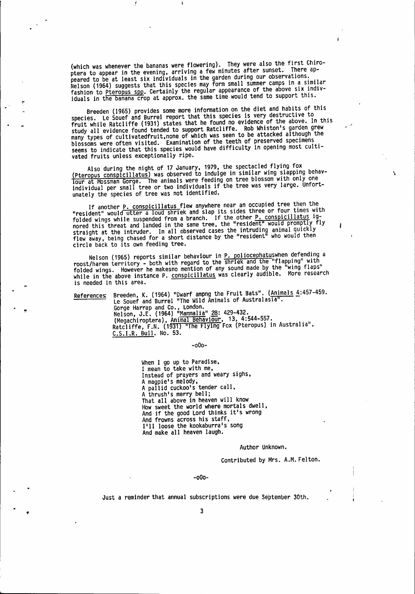(which was whenever the bananas were flowering). They were also the first Chiro-<br>ptera to appear in the evening, arriving a few minutes after sunset. There ap-<br>peared to be at least six individuals in the garden during our

Breeden (1965) provides some more information on the diet and habits of this species. Le Souef and Burrel report that this species is very destructive to fruit while Ratcliffe (1931) states that he found no evidence of the above. In this<br>study all evidence found tended to support Ratcliffe. Rob Whiston's garden grew many types of cultivatedfruit, none of which was seen to be attacked although the<br>blossoms were often visited. Examination of the teeth of preserved specimens seems to indicate that this species would have difficulty in opening most cultivated fruits unless exceptionally ripe.

Also during the night of 17 January, 1979, the spectacled flying fox<br>(Pteropus conspicillatus) was observed to indulge in similar wing slapping behav-<br>jour at Mossman Gorge. The animals were feeding on tree blossom with on unately the species of tree was not identified.

If another P. conspicillatus flew anywhere near an occupied tree then the<br>"resident" would utter a loud shriek and slap its sides three or four times with<br>folded wings while suspended from a branch. If the other P. conspic

Nelson (1965) reports similar behaviour in P. poliocephatuswhen defending a<br>roost/harem territory - both with regard to the shriek and the "flapping" with<br>folded wings. However he makes no mention of any sound made by the is needed in this area.

References Breeden, K. (1964) "Dwarf ampng the Fruit Bats". (Animals  $4:457-459$ .<br>Le Souef and Burrel "The Wild Animals of Australasia". Corge Harrap and Co., London.<br>
Nelson, J.E. (1964) "Mammalia" 28: 429-432.<br>
(Megachiroptera), Animal Behaviour, 13, 4:544-557.<br>
Ratcliffe, F.N. (1931) "The Flying Fox (Pteropus) in Australia", C.S.I.R. Bull. No. 53.

 $-000-$ 

When I go up to Paradise, I mean to take with me,<br>Instead of prayers and weary sighs, A magpie's melody,<br>A pallid cuckoo's tender call, A thrush's merry bell; That all above in heaven will know How sweet the world where mortals dwell, And if the good Lord thinks it's wrong<br>And frowns across his staff, I'll loose the kookaburra's song And make all heaven laugh.

#### Author Unknown.

Contributed by Mrs. A.M. Felton.

Ñ

ł

 $-000-$ 

Just a reminder that annual subscriptions were due September 30th.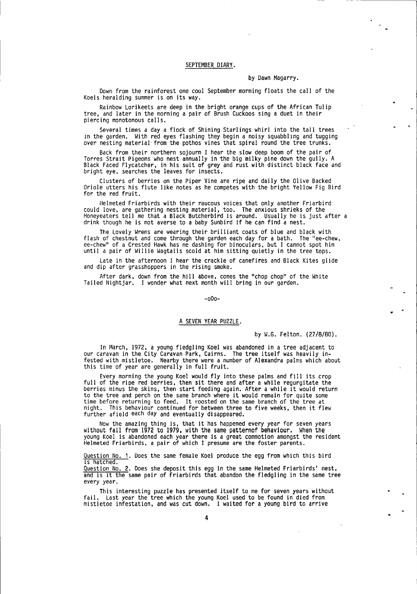#### SEPTEMBER DIARY.

#### by Dawn Magarry.

Down from the rainforest one cool September morning floats the call of the Koels heralding summer is on its way.

Rainbow Lorikeets are deep in the bright orange cups of the African Tulip tree, and later in the morning a pair of Brush Cuckoos sing a duet in their piercing monotonous cal ls.

Several times a day a flock of Shining Starlings whirl into the tall trees in the garden. With red eyes flashing they begin a noisy squabbling and tugging over nesting material'from the pothos vines that spiral round the tree trunks.

Back from their northern sojourn I hear the slow deep boom of the pair of Torres Strait Pigeons who nest annually in the big milky pine down the gully. A Black Faced Flycatcher, in his suit of grey and rust with distinct black face and bright eye, searches the leaves for insects.

Clusters of berries on the Piper Vine are ripe and daily the 0live Backed Oriole utters his flute like notes as he competes with the bright Yellow Fig Bird for the red fruit.

Helmeted Friarbirds with their raucous voices that only another Friarbird<br>could love, are gathering nesting material, too. The anxious shrieks of the Honeyeaters tell me that a Black Butcherbird is around. Usually he is just after <sup>a</sup> drink though he is not averse to a baby Sunbird if he can find a nest.

The Lovely Wrens are wearing their brilliant coats of blue and black with flash of chestnut and come through the garden each day for a bath. The "ee-chew, ee-chew" of a Crested Hawk has me dashing for binoculars, but I cannot spot him until a pair of Willie Wagtails scold at him sitting quietly in the tree tops.

Late in the afternoon I hear the crackle of canefires and Black Kites glide and dip after grasshoppers in the rising smoke.

After dark, down from the hill above, comes the "chop chop" of the White Tailed Nightjar. I wonder what next month will bring in our garden.

-o0o-

## A SEVEN YEAR PUZZLE.

by W.G. Felton. (27/8/80).

In March, 1972, a young fledgling Koel was abandoned in a tree adjacent to our caravan in the City Caravan Park, Cairns. The tree itself was heavily infested with mistletoe. Nearby there were a number of Alexandra palms which about this time of year are generally in full fruit.

Every morning the young Koel would fly into these palms and fill its crop full of the ripe red berries, then sit there and after a while regurgitate the berries minus the skins, then start feeding again. After a while it would return to the tree and perch on the same branch where it would remain for quite some time before returning to feed. It roosted on the same branch of the tree at night. This behaviour continued for between three to five weeks, then it flew further afield each day and eventually disappeared.

Now the amazing thing is, that it has happened every year for seven years without fail from 1972 to 1979, with the same patternof behaviour. When the young Koel is abandoned each year there is a great commotlon amongst the resident Helneted Friarbirds, a pair of which I presume are the foster parents.

Question No. 1. Does the same female Koel produce the egg from which this bird is hatched.

Question No. 2. Does she deposit this egg in the same Helmeted Friarbirds' nest, and is it the same pair of Friarbirds that abandon the fledgling in the same tree every year.

This interesting puzzle has presented itself to me for seven years without fail. Last year the tree which the young Koel used to be found in died from mistletoe infestation, and was cut down. I waited for a young bird to arrive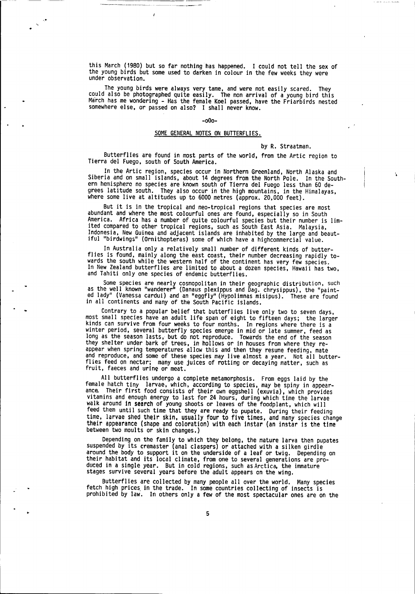this March (1980) but so far nothing has happened. I could not tell the sex of the young birds but some used to darken in colour in the few weeks they were under observation.

The young birds were always very tame, and were not easily scared. They<br>could also be photographed quite easily. The non arrival of a young bird this<br>March has me wondering - Has the female Koel passed, have the Friarbirds somewhere else, or passed on also? I shall never know.

#### -o0o-

## SOME GENERAL NOTES ON BUTTERFLIES.

## by R. Straatman.

Butterflles are found in most parts of the world, from the Artic region to Tierra del Fuego, south of South America.

In the Artic region, species occur in Northern Greenland, North Alaska and<br>Siberia and on small islands, about 14 degrees from the North Pole. In the Southern hemisphere no species are known south of Tierra del Fuego less than 60 degrees latitude south. They also occur in the high mountains, in the Himalayas, where some live at altitudes up to 6000 metres (approx. 20,000 feet).

But it is in the tropical and neo-tropical regions that species are most abundant and where the most colourful ones are found, especially so in South<br>America. Africa has a number of quite colourful species but their number is lim-Indonesia, New Guinea and adjacent islands are inhabited by the large and beaut-<br>Indonesia, New Guinea and adjacent islands are inhabited by the large and beaut-<br>iful "birdwings" (Ornithopteras) some of which have a highco

In Australia only a relatively small number of different kinds of butter-<br>flies is found, mainly along the east coast, their number decreasing rapidly towards the south while the western half of the continent has very few species.<br>In New Zealand butterflies are limited to about a dozen species, Hawaii has two, and Tahiti only one species of endenic butterflies.

Some species are nearly cosmopolitan in their geographic distribution, such as the well known "wandereri' (Danaus plexippus and Dag. chrysippus), the "painted lady" (Vanessa cardui) and an "eggfly" (Hypolimnas misipus). These are found in all continents and many of the South Pacific islands.

Contrary to a popular belief that butterflies live only two to seven days, most small species have an adult life span of eight to fifteen days; the larger kinds can survive from four weeks to four months. In regions where there is a winter period, several butterfly species emerge in mid or late summer, feed as long as the season lasts, but do not reproduce. Towards the end of the season<br>they shelter under bark of trees, in hollows or in houses from where they reappear when spring temperatures allow this and then they resume feeding, mate and reproduce, and some of these species may live almost a year. Not all butter-<br>flies feed on nectar; many use juices of rotting or decaying matter, such as<br>fruit, faeces and uring or meat.

All butterflies undergo a complete metamorphosis. From eggs laid by the<br>female hatch tiny larvae, which, according to species, may be spiny in appear-<br>ance Their first food consists of their own eggshell (exuvia), which pr vitamins and enough energy to last for 24 hours, during which time the larvae<br>walk around in search of young shoots or leaves of the foodplant, which will<br>feed them until such time that they are ready to pupate. During the time, larvae shed their skin, usually four to five times, and many species change their appearance (shape and coloration) with each instar (an instar is the time between two moults or skin changes.)

Dependlng on the family to which they belong, the mature larva then pupates suspended by its cremaster (anal claspers) or attached with a silken girdie' around the body to support it on the underside of a leaf or twig. Depending on their habitat and its local climate, from one to several generations are protheir habitat and its local climate, from one to several generations are produced in a single year. But in cold regions, such as Arctica, the immature stages survive several years before the adult appears on the wing.

Butterflies are collected by many people all over the world. Many species<br>fetch high prices in the trade. In some countries collecting of insects is<br>prohibited by law. In others only a few of the most spectacular ones are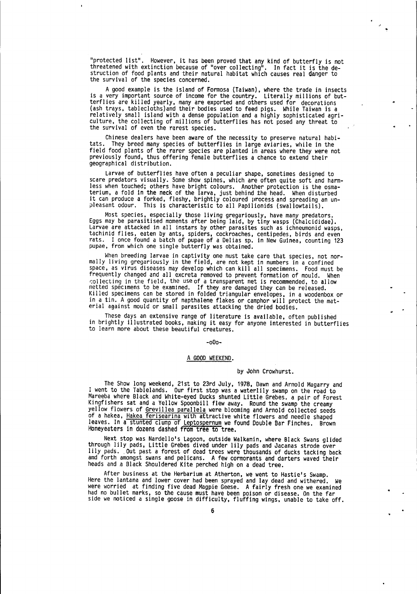"protected list". However, it has been proved that any kind of butterfly is not threatened with extinction because of "over collecting". In fact it is the de-<br>struction of food plants and their natural habitat which causes real danger to the survival of the species concerned.

 $\mathcal{A}^{\prime}$ 

A good example is the island of Formosa (Taiwan), where the trade in insects is a very important source of income for the country. Literally millions of but-<br>terflies are killed yearly, many are exported and others used fo relatively small island with a dense population and a highly sophisticated agriculture, the collecting of millions of butterflies has not posed any threat to the survival of even the rarest species.

Chinese dealers have been aware of the necessity to preserve natural habi-<br>tats. They breed many species of butterflies in large aviaries, while in the<br>field food plants of the rarer species are planted in areas where they previously found, thus offering female butterflies a chance to extend their geographical di stribution.

Larvae of butterflies have often a peculiar shape, sometimes designed to scare predators visually. some show spines, which are often quite soft and harmless when touched; others have bright colours. Another protection is the osmaterium, a fold in the neck of the larva, just behind the head. When disturbed<br>it can produce a forked, fleshy, brightly coloured process and spre

\_ Most. species, especially those living gregariously, have many predators. Eggs may be parasitised moments after being laid, by tiny wasps (Chalcididae). tachinid flies, eaten by ants, spiders, cockroaches, centipedes, birds and even<br>rats. I once found a batch of pupae of a Delias sp. in New Guinea, counting 123 pupae, from which one single butterfly was obtained.

t,lhgn breeding larvae in captivity one must take care that species, not nor- mally living gregariously in the field, are not kept in numbers in a confined space, as virus diseases may develop which can kill all specimens. Food must be frequently changed and all excreta removed to prevent formation of mould. When Killed specimens to be examined. If they are damaged they can be refeased.<br>Killed specimens can be stored in folded triangular envelopes, in a woodenbox or<br>in a tin. A good quantity of napthalene flakes or camphor will pro

These days an extensive range of literature is available, often published in brightly illustrated books, making it easy for anyone interested in butterflies<br>to learn more about these beautiful creatures.

#### -o0o-

#### A GOOD WEEKEND.

#### by John Crowhurst.

The Show long weekend, 21st to 23rd July, 1978, Dawn and Arnold Magarry and I went to the Tablelands. Our first stop was a waterlily swamp on the road to Mareeba where Black and White-eyed Ducks shunted Little Grebes. a pa Mareeba where Black and White-eyed Ducks shunted Little Grebes. a pair of Forest<br>Kingfishers sat and a Yellow Spoonbill flew away. Round the swamp the creamy<br>yellow flowers of <u>Grevillea parallela</u> were blooming and Arnold Honeyeaters in dozens dashed from tree to tree.

Next stop was Nardello's Lagoon, outside Walkamin, where Black Swans glided through lily pads, Little Grebes dived under lily pads and Jacanas strode over lily pads. Out past a forest of dead trees were thousands of ducks tacking back amd forth amongst swans and pelicans. A few cormorants and darters waved iheir heads and a Black Shouldered Kite perched high on a dead tree.

After business at the Herbarium at Atherton, we went to Hastie's Swamp. Here the lantana and lower cover had been sprayed and lay dead and withered. We were worried at finding five dead Magpie Geese. A fairly fresh one we examined had no bullet marks, so the cause must have been poison or disease. On the far<br>side we noticed a single goose in difficulty, fluffing wings, unable to take off.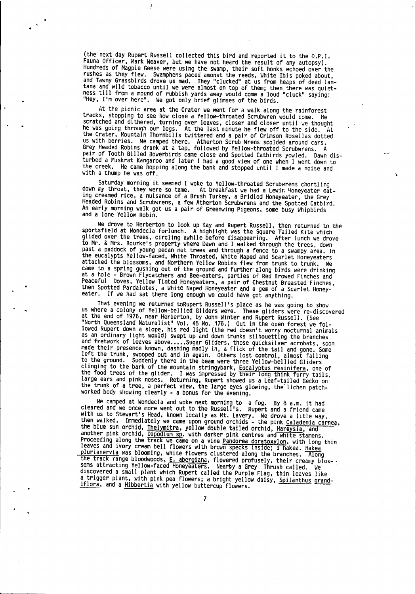(the next.day Rupert Russell collected this bird and reported it to the D.p.l. Fauna Officer, Mark Weaver, but we have not heard the result of any autopsy). Hundreds of Magpie Geese were using the swamp, their soft honks echoed over the<br>rushes as they flew. Swamphens paced amonst the reeds, White Ibis poked about,<br>and Tawny Grassbirds drove us mad. They "clucked" at us from he tana and wild tobacco until we were almost on top of them; then there was quiet-<br>ness till from a mound of rubbish yards away would come a loud "cluck" saying: "Hey, I'm over here". We got only brief glimses of the birds.

 $\mathbf{v}_\mathrm{t}$  .

At the picnic area at the Crater we went for a walk along the rainforest<br>tracks, stopping to see how close a Yellow-throated Scrubwren would come. He<br>scratched and dithered, turning over leaves, closer and closer until we or some and through our negs.- At the last minute he was going throught<br>he was going through our legs.- At the last minute he flew off to the side.- At<br>the Crater, Mountain Thornbills twittered and a pair of Crimson Rosell the Crater, Mountain Thornbills twittered and a pair of Crimson Rosellas dotted us with berries. We camped there. Atherton Scrub Wrens scolded around cars, Grey Headed Robins drank at a tap, followed by Yellow-throated Scrubwrens. A pair of Tooth Billed Bowerbirds came close and Spotted Catbirds yowled. Dawn disturbed a Muskrat Kangaroo and later I had a good view of one when I went down to<br>the creek. He came hopping along the bank and stopped until I the creek. He came hopping along the bank and stopped until I made a noise and with a thump he was off.

Saturday morning it seemed I woke to Yellow-throated Scrubwrens chortling<br>down my throat, they were so tame. At breakfast we had a Lewin Honeyeater eat-<br>ing creamed rice, a nuisance of a Brush Turkey, a Bridled Honeyeater, Saturday morning it seemed I woke to Yellow-throated Scrubwrens chortling Ing Breamed Tice, a haisance of a Brash Turkey, a Bridied Honeyeater, the Grey<br>Headed Robins and Scrubwrens, a few Atherton Scrubwrens and the Spotted Catbird.<br>An early morning walk got us a pair of Greenwing Pigeons, some

We drove to Herberton to look up Kay and Rupert Russell, then returned to the sportsfield at Wondecla forlunch. A highlight was the Square Tailed Kite which glided over the trees, circling awhile before disappearing. After came to a spring gushing out of the ground and further along birds were drinking<br>at a hole - Brown Flycatchers and Bee-eaters, parties of Red Browed Finches and<br>Peaceful Doves, Yellow Tinted Honeyeaters, a pair of Chestnut

That evening we returned toRupert Russell's place as he was going to show us where a colony of Yellow-bellied Gliders were. These gliders were re-discovered<br>at the end of 1976, near Herberton, by John Winter and Rupert Russell. (See<br>"North Queensland Naturalist" Vol. 45 No. 176.) Out in the open as an ordinary light would) swept up and down trunks silhouetting the branches<br>and fretwork of leaves above.....Sugar Gliders, those quicksilver acrobats, soon<br>made their presence known, dashing madly in, a flick of the ta clinging to the bark of the mountain stringybark, Eucalyptus resinifera, one of<br>the food trees of the glider. I was impressed by their long think furry tails. large ears and pink noses. Returning, Rupert showed us a Leaf-tailed Gecko on<br>the trunk of a tree, a perfect view, the large eyes glowing, the lichen patch-

worked body showing clearly - a bonus for the evening.<br>We camped at Wondecla and woke next morning to a fog. By 8 a.m. it had<br>cleared and we once more went out to the Russell's. Rupert and a friend came We camped at Wondecla and woke next morning to a fog. By 8 a.m. it had<br>cleared and we once more went out to the Russell's. Rupert and a friend came<br>with us to Stewart's Head, known locally as Mt. Lavery. We drove a litle w another pink orchid, Dipodium Sp. with darker pink centres and white stamens.<br>Proceeding along the track we came on a vine <u>Pandorea doratoxylon</u>, with long thin<br>leaves and ivory cream bell flowers with brown specks inside plurianervia was blooming, white flowers clustered along the branches. Along<br>the track range bloodwoods, E. abergiana, flowered profusely, their creamy blos- . the track range bioodwoods, <u>E. abergiana</u>, flowered profusely, their creamy b<br>soms attracting Yellow-faced Honeyeaters. Nearby a Grey- Thrush called. We<br>discussional called. discovered a small plant which Rupert called the Purple Flag, thin leaves like a trigger plant, with pink pea flowers; a bright yellow daisy, <u>Spilanthus grand</u><br>iflora, and a <u>Hibbertia</u> with yellow buttercup flowers.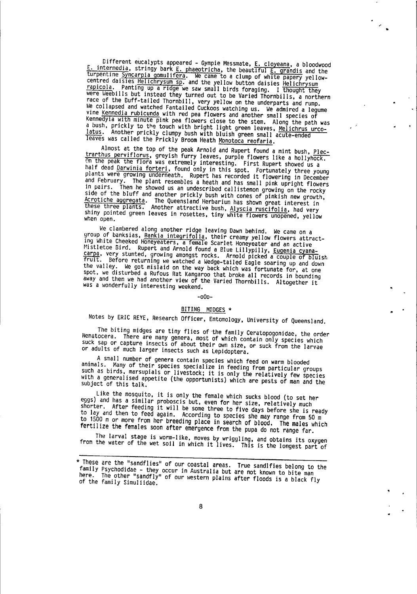Different eucalypts appeared - Gympie Messmate, <u>E. cloyeana</u>, a bloodwood<br>E. intermedia, stringy bark <u>E. phaeotricha</u>, the beautiful <u>E. grandis</u> and the<br>turpentine Syncarpia gomulifera. We came to a clump of white paper were Weebills but instead they turned out to be Varied Thornbills, a northern Were Weep and with the contract of the Buff-tailed Thornbill, very yellow on the underparts and rump.<br>We collapsed and watched Fantailed Cuckoos watching us. We admired a legume<br>vine <u>Kennedia rubicunda</u> with red pea flowe Kennedyla with minute pink pea flowers close to the stem. Along the path was a bush, prickly to the touch with bright light green leaves, Melichrus urco-<br>latus. Another prickly clumpy bush with bluish green small acute-ended leaves was called the Prickly Broom Heath Monotoca reofaria.

 $\mathcal{A}$ 

Almost at the top of the peak Arnold and Rupert found a mint bush, Plectrarthus perviflorus, greyish furry leaves, purple flowers like a hollyhock.<br>On the peak the flora was extremely interesting. First Rupert showed us a half dead Darwinia forteri, found only in this spot. Fortunately three young<br>plants were growing underneath. Rupert has recorded it flowering in December and February. The plant resembles a heath and has small pink upright flowers in pairs. Then he showed us an undescribed callistemon growing on the rocky side of the bluff and another prickly bush with cones of pinkish new growth, Acrotiche aggregata. The Queensland Herbarium has shown great interest in<br>these three plants. Another attractive bush, Alyscia ruscifolia, had very shiny pointed green leaves in rosettes, tiny white flowers unopened, yellow when open.

We clambered along another ridge leaving Dawn behind. We came on a<br>group of banksias, <u>Bankia integrifolia</u>, their creamy yellow flowers attract-<br>ing White Cheeked Honeyeaters, a female Scarlet Honeyeater and an active<br>Mis the valley. We got mislaid on the way back which was fortunate for, at one spot when the valley. We got mislaid on the way back which was fortunate for, at one spot, we disturbed a Rufous Rat Kangaroo that broke all record was a wonderfully interesting weekend.

#### $-000-$

## BITING MIDGES \*

Notes by ERIC REYE, Research Officer, Entomology, University of Queensland.

The biting midges are tiny flies of the family Ceratopogonidae, the order Nematocera. There are many genera, most of which contain only species which<br>suck sap or capture insects of about their own size, or suck from the larvae or adults of much larger insects such as Lepidoptera.

A small number of genera contain species which feed on warm blooded animals. Many of their species specialize in feeding from particular groups<br>such as birds, marsupials or livestock; it is only the relatively few species with a generalised appetite (the opportunists) which are pests of man and the subject of this talk.

Like the mosquito, it is only the female which sucks blood (to set her eggs) and has a similar proboscis but, even for her size, relatively much shorter. After feeding it will be some three to five days before she is ready to lay and then to feed again. According to species she may range from 50 m to 1500 m or more from her breeding place in search of blood. The males which fertilize the females soon after emergence from the pupa do not range far.

The larval stage is worm-like, moves by wriggling, and obtains its oxygen<br>from the water of the wet soil in which it lives. This is the longest part of

<sup>\*</sup> These are the "sandflies" of our coastal areas. True sandlfies belong to the family Psychodidae - they occur in Australia but are not known to bite man here. The other "sandfly" of our western plains after floods is a black fly of the family Simuliidae.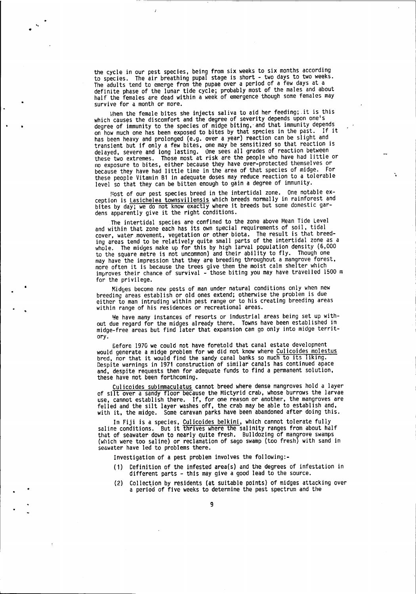the cycle in our pest species, being from six weeks to six months according the cycle in our pest species, being from our next next two days to two weeks. The adults tend to emerge from the pupae over a period of a few days at a definite phase of the lunar tide cycle; probably most of the males and about half the females are dead within a week of emergence though some females may survive for a month or more.

When the female bites she injects saliva to aid her feeding; it is this which causes the discomfort and the degree of severity depends upon one's degree of immunity to the species of midge biting, and that immunity depends. on how much one has been exposed to bites by that species in the past. If it has been heavy and prolonged (e.g. over a year) reaction can be slight and transient but if only a few bites, one may be sensitized so that reaction is delayed, severe and long lasting. One sees all grades of reaction between<br>these two extremes. Those most at risk are the people who have had little or no exposure to bites, either because they have over-protected themselves or because they have had little time in the area of that species of midge. For these people Vitamin B1 in adequate doses may reduce reaction to a tolerable level so that they can be bitten enough to gain a degree of immunity.

Most of our pest species breed in the intertidal zone. One notable exception is Lasichelea townsvillensis which breeds normally in rainforest and bites by day; we do not know exactly where it breeds but some do dens apparently give it the right conditions.

The intertidal species are confined to the zone above Mean Tide Level and within that zone bach has its own special requirements of soil, tidal cover, water movement, vegetation or other biota. The result is that breeding areas tend to be relatively quite small parts of the intertidal zone as a whole. The midges make up for this by high larval population density (6,000 to the square metre is not uncommon) and their ability to fly. Though one may have the impression that they are breeding throughout a mangrove forest, more often it is because the trees give them the moist calm shelter which improves their chance of survival - those biting you may have travelled 1500 m for the privilege.

 $\texttt{Midges}$  become new pests of man under natural conditions only when new breeding-areas establish or old ones extend; otherwise the problem is due either to man intruding within pest range or to his creating breeding areas within range of his residences or recreational areas.

 $M$ e have many instances of resorts or industrial areas being set up without due regard for the midges already there. Towns have been established in midge-free areas but find later that expansion can go only into midge territory.

Eefore 1970 we could not have foretold that canal estate development would generate a midge problem for we did not know where Culicoides molestus  $b$ red, nor that it would find the sandy canal banks so much to its liking. Despite warnings in 1971 construction of similar canals has continued apace and, despite requests then for adequate funds to find a permanent solution, these have not been forthcoming.

Culicoides subinnaculatus cannot breed where dense mangroves hold a layer of silt over a sandy floor because the Mictyrid crab, whose burrows the larvae use, cannot establish there. If, for one reason or another, the mangroves are felled and the silt layer washes off, the crab may be able to establish and, with it, the midge. Some caravan parks have been abandoned after doing this.

In Fiji is a species, Culicoides belkini, which cannot tolerate fully<br>saline conditions. But it thrives where the salinity ranges from about half that of seawater down to nearly quite fresh. Bulldozing of mangrove swamps (which were too saline) or reclamation of sago swamp (too fresh) with sand in seawater have led to problems there.

Investigation of a pest problem involves the following:-

- (1) Definition of the tnfested area(s) and the degrees of infestation in different parts - this may give a good lead to the source.
- (2) Collection by residents (at suitable points) of midges attacking over a period of five weeks to determine the pest spectrum and the